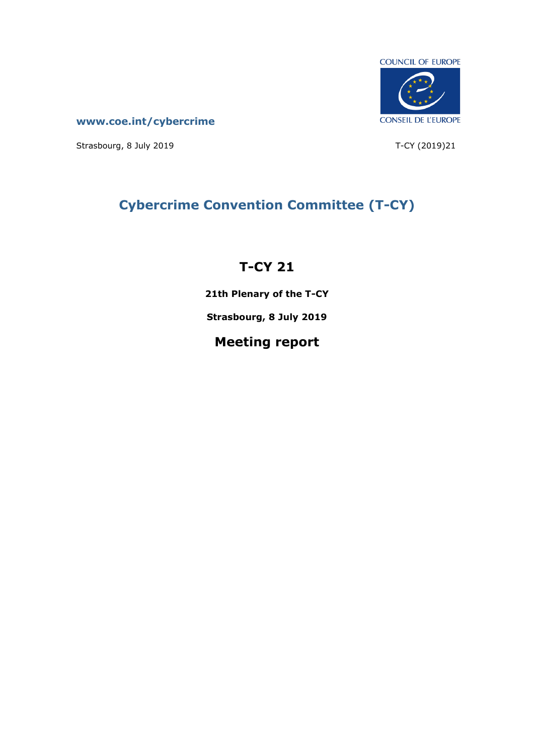

**[www.coe.int/cybercrime](http://www.coe.int/TCY)**

Strasbourg, 8 July 2019 1990 1991 1992 1994 10:30 10:40 10:40 10:40 10:40 10:40 10:40 10:40 10:40 10:40 10:40

# **Cybercrime Convention Committee (T-CY)**

# **T-CY 21**

**21th Plenary of the T-CY**

**Strasbourg, 8 July 2019**

# **Meeting report**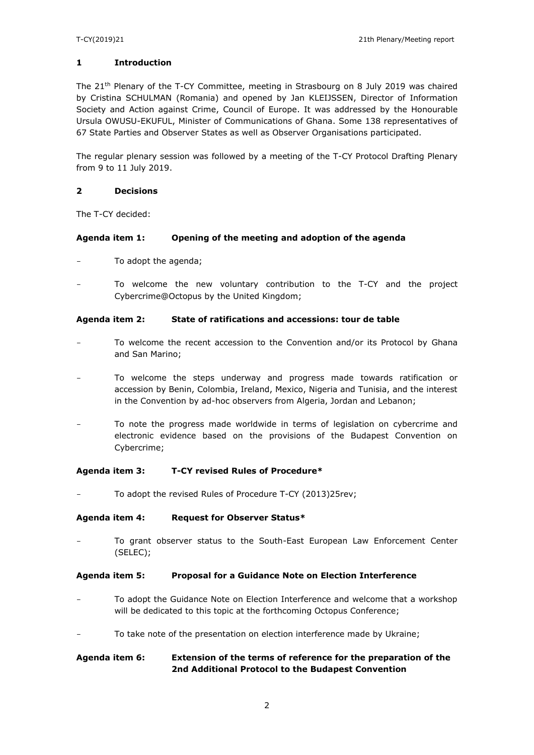### **1 Introduction**

The 21<sup>th</sup> Plenary of the T-CY Committee, meeting in Strasbourg on 8 July 2019 was chaired by Cristina SCHULMAN (Romania) and opened by Jan KLEIJSSEN, Director of Information Society and Action against Crime, Council of Europe. It was addressed by the Honourable Ursula OWUSU-EKUFUL, Minister of Communications of Ghana. Some 138 representatives of 67 State Parties and Observer States as well as Observer Organisations participated.

The regular plenary session was followed by a meeting of the T-CY Protocol Drafting Plenary from 9 to 11 July 2019.

### **2 Decisions**

The T-CY decided:

### **Agenda item 1: Opening of the meeting and adoption of the agenda**

- To adopt the agenda;
- To welcome the new voluntary contribution to the T-CY and the project Cybercrime@Octopus by the United Kingdom;

### **Agenda item 2: State of ratifications and accessions: tour de table**

- To welcome the recent accession to the Convention and/or its Protocol by Ghana and San Marino;
- To welcome the steps underway and progress made towards ratification or accession by Benin, Colombia, Ireland, Mexico, Nigeria and Tunisia, and the interest in the Convention by ad-hoc observers from Algeria, Jordan and Lebanon;
- To note the progress made worldwide in terms of legislation on cybercrime and electronic evidence based on the provisions of the Budapest Convention on Cybercrime;

#### **Agenda item 3: T-CY revised Rules of Procedure\***

To adopt the revised Rules of Procedure T-CY (2013)25rev;

#### **Agenda item 4: Request for Observer Status\***

To grant observer status to the South-East European Law Enforcement Center (SELEC);

#### **Agenda item 5: Proposal for a Guidance Note on Election Interference**

- To adopt the Guidance Note on Election Interference and welcome that a workshop will be dedicated to this topic at the forthcoming Octopus Conference;
- To take note of the presentation on election interference made by Ukraine;

### **Agenda item 6: Extension of the terms of reference for the preparation of the 2nd Additional Protocol to the Budapest Convention**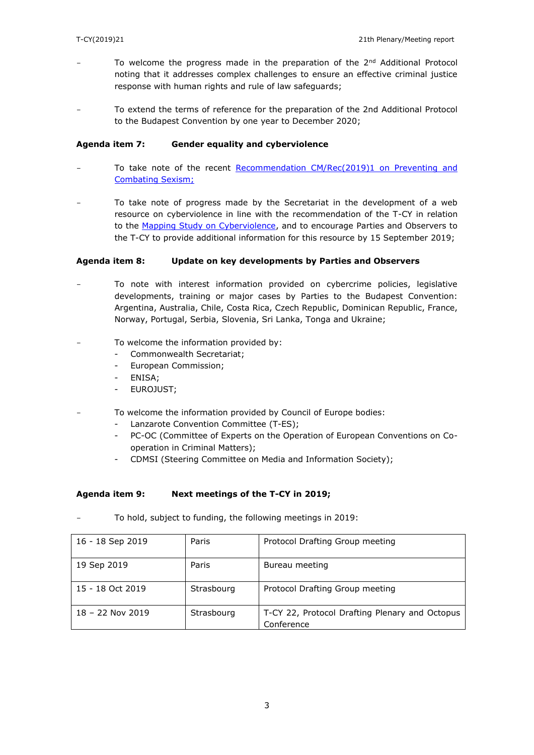- To welcome the progress made in the preparation of the  $2<sup>nd</sup>$  Additional Protocol noting that it addresses complex challenges to ensure an effective criminal justice response with human rights and rule of law safeguards;
- To extend the terms of reference for the preparation of the 2nd Additional Protocol to the Budapest Convention by one year to December 2020;

### **Agenda item 7: Gender equality and cyberviolence**

- To take note of the recent Recommendation CM/Rec(2019)1 on Preventing and [Combating Sexism;](https://rm.coe.int/prems-055519-gbr-2573-cmrec-2019-1-web-a5/168093e08c)
- To take note of progress made by the Secretariat in the development of a web resource on cyberviolence in line with the recommendation of the T-CY in relation to the [Mapping Study on Cyberviolence,](https://rm.coe.int/t-cy-2017-10-cbg-study-provisional/16808c4914) and to encourage Parties and Observers to the T-CY to provide additional information for this resource by 15 September 2019;

### **Agenda item 8: Update on key developments by Parties and Observers**

- To note with interest information provided on cybercrime policies, legislative developments, training or major cases by Parties to the Budapest Convention: Argentina, Australia, Chile, Costa Rica, Czech Republic, Dominican Republic, France, Norway, Portugal, Serbia, Slovenia, Sri Lanka, Tonga and Ukraine;
- To welcome the information provided by:
	- Commonwealth Secretariat;
	- European Commission;
	- ENISA;
	- EUROJUST;
- To welcome the information provided by Council of Europe bodies:
	- Lanzarote Convention Committee (T-ES);
	- PC-OC (Committee of Experts on the Operation of European Conventions on Cooperation in Criminal Matters);
	- CDMSI (Steering Committee on Media and Information Society);

#### **Agenda item 9: Next meetings of the T-CY in 2019;**

| $\overline{\phantom{0}}$ | To hold, subject to funding, the following meetings in 2019: |
|--------------------------|--------------------------------------------------------------|
|                          |                                                              |

| 16 - 18 Sep 2019   | Paris      | Protocol Drafting Group meeting                              |
|--------------------|------------|--------------------------------------------------------------|
| 19 Sep 2019        | Paris      | Bureau meeting                                               |
| 15 - 18 Oct 2019   | Strasbourg | Protocol Drafting Group meeting                              |
| $18 - 22$ Nov 2019 | Strasbourg | T-CY 22, Protocol Drafting Plenary and Octopus<br>Conference |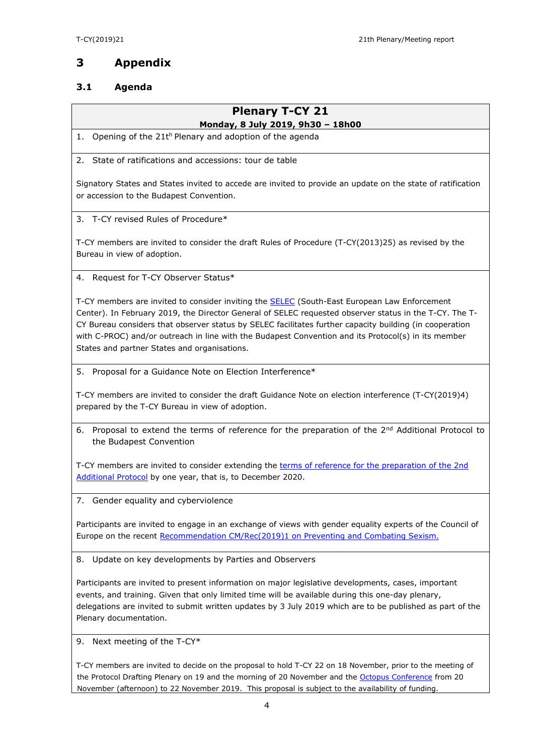# **3 Appendix**

# **3.1 Agenda**

# **Plenary T-CY 21**

# **Monday, 8 July 2019, 9h30 – 18h00**

1. Opening of the 21<sup>th</sup> Plenary and adoption of the agenda

2. State of ratifications and accessions: tour de table

Signatory States and States invited to accede are invited to provide an update on the state of ratification or accession to the Budapest Convention.

3. T-CY revised Rules of Procedure\*

T-CY members are invited to consider the draft Rules of Procedure (T-CY(2013)25) as revised by the Bureau in view of adoption.

4. Request for T-CY Observer Status\*

T-CY members are invited to consider inviting the [SELEC](https://www.selec.org/) (South-East European Law Enforcement Center). In February 2019, the Director General of SELEC requested observer status in the T-CY. The T-CY Bureau considers that observer status by SELEC facilitates further capacity building (in cooperation with C-PROC) and/or outreach in line with the Budapest Convention and its Protocol(s) in its member States and partner States and organisations.

5. Proposal for a Guidance Note on Election Interference\*

T-CY members are invited to consider the draft Guidance Note on election interference (T-CY(2019)4) prepared by the T-CY Bureau in view of adoption.

6. Proposal to extend the terms of reference for the preparation of the  $2^{nd}$  Additional Protocol to the Budapest Convention

T-CY members are invited to consider extending the terms of reference for the preparation of the 2nd [Additional Protocol](https://rm.coe.int/terms-of-reference-for-the-preparation-of-a-draft-2nd-additional-proto/168072362b) by one year, that is, to December 2020.

7. Gender equality and cyberviolence

Participants are invited to engage in an exchange of views with gender equality experts of the Council of Europe on the recent [Recommendation CM/Rec\(2019\)1 on Preventing and Combating Sexism.](https://rm.coe.int/prems-055519-gbr-2573-cmrec-2019-1-web-a5/168093e08c)

8. Update on key developments by Parties and Observers

Participants are invited to present information on major legislative developments, cases, important events, and training. Given that only limited time will be available during this one-day plenary, delegations are invited to submit written updates by 3 July 2019 which are to be published as part of the Plenary documentation.

9. Next meeting of the T-CY\*

T-CY members are invited to decide on the proposal to hold T-CY 22 on 18 November, prior to the meeting of the Protocol Drafting Plenary on 19 and the morning of 20 November and the [Octopus Conference](https://rm.coe.int/octopus-conference-2019-outline/1680948eba) from 20 November (afternoon) to 22 November 2019. This proposal is subject to the availability of funding.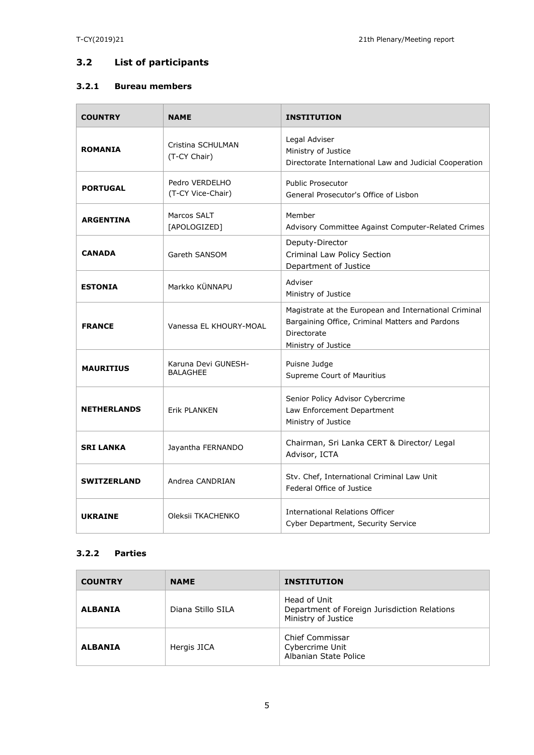# **3.2 List of participants**

### **3.2.1 Bureau members**

| <b>COUNTRY</b>     | <b>NAME</b>                            | <b>INSTITUTION</b>                                                                                                                             |
|--------------------|----------------------------------------|------------------------------------------------------------------------------------------------------------------------------------------------|
| <b>ROMANIA</b>     | Cristina SCHULMAN<br>(T-CY Chair)      | Legal Adviser<br>Ministry of Justice<br>Directorate International Law and Judicial Cooperation                                                 |
| <b>PORTUGAL</b>    | Pedro VERDELHO<br>(T-CY Vice-Chair)    | <b>Public Prosecutor</b><br>General Prosecutor's Office of Lisbon                                                                              |
| <b>ARGENTINA</b>   | Marcos SALT<br>[APOLOGIZED]            | Member<br>Advisory Committee Against Computer-Related Crimes                                                                                   |
| <b>CANADA</b>      | Gareth SANSOM                          | Deputy-Director<br>Criminal Law Policy Section<br>Department of Justice                                                                        |
| <b>ESTONIA</b>     | Markko KÜNNAPU                         | Adviser<br>Ministry of Justice                                                                                                                 |
| <b>FRANCE</b>      | Vanessa EL KHOURY-MOAL                 | Magistrate at the European and International Criminal<br>Bargaining Office, Criminal Matters and Pardons<br>Directorate<br>Ministry of Justice |
| <b>MAURITIUS</b>   | Karuna Devi GUNESH-<br><b>BALAGHEE</b> | Puisne Judge<br>Supreme Court of Mauritius                                                                                                     |
| <b>NETHERLANDS</b> | <b>Erik PLANKEN</b>                    | Senior Policy Advisor Cybercrime<br>Law Enforcement Department<br>Ministry of Justice                                                          |
| <b>SRI LANKA</b>   | Jayantha FERNANDO                      | Chairman, Sri Lanka CERT & Director/ Legal<br>Advisor, ICTA                                                                                    |
| <b>SWITZERLAND</b> | Andrea CANDRIAN                        | Stv. Chef, International Criminal Law Unit<br>Federal Office of Justice                                                                        |
| <b>UKRAINE</b>     | Oleksii TKACHENKO                      | <b>International Relations Officer</b><br>Cyber Department, Security Service                                                                   |

### **3.2.2 Parties**

| <b>COUNTRY</b> | <b>NAME</b>       | <b>INSTITUTION</b>                                                                  |
|----------------|-------------------|-------------------------------------------------------------------------------------|
| <b>ALBANIA</b> | Diana Stillo SILA | Head of Unit<br>Department of Foreign Jurisdiction Relations<br>Ministry of Justice |
| <b>ALBANIA</b> | Hergis JICA       | Chief Commissar<br>Cybercrime Unit<br>Albanian State Police                         |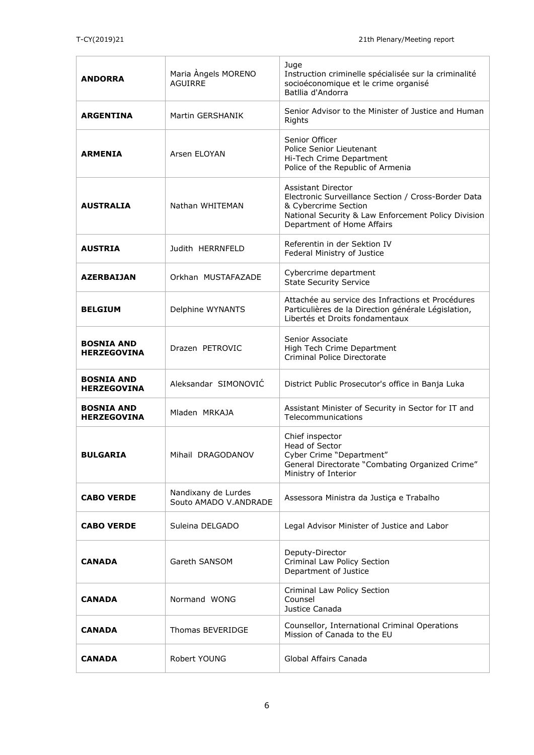| <b>ANDORRA</b>                          | Maria Angels MORENO<br><b>AGUIRRE</b>        | Juge<br>Instruction criminelle spécialisée sur la criminalité<br>socioéconomique et le crime organisé<br>Batllia d'Andorra                                                                    |
|-----------------------------------------|----------------------------------------------|-----------------------------------------------------------------------------------------------------------------------------------------------------------------------------------------------|
| <b>ARGENTINA</b>                        | Martin GERSHANIK                             | Senior Advisor to the Minister of Justice and Human<br>Rights                                                                                                                                 |
| <b>ARMENIA</b>                          | Arsen ELOYAN                                 | Senior Officer<br>Police Senior Lieutenant<br>Hi-Tech Crime Department<br>Police of the Republic of Armenia                                                                                   |
| <b>AUSTRALIA</b>                        | Nathan WHITEMAN                              | <b>Assistant Director</b><br>Electronic Surveillance Section / Cross-Border Data<br>& Cybercrime Section<br>National Security & Law Enforcement Policy Division<br>Department of Home Affairs |
| <b>AUSTRIA</b>                          | Judith HERRNFELD                             | Referentin in der Sektion IV<br>Federal Ministry of Justice                                                                                                                                   |
| <b>AZERBAIJAN</b>                       | Orkhan MUSTAFAZADE                           | Cybercrime department<br><b>State Security Service</b>                                                                                                                                        |
| <b>BELGIUM</b>                          | Delphine WYNANTS                             | Attachée au service des Infractions et Procédures<br>Particulières de la Direction générale Législation,<br>Libertés et Droits fondamentaux                                                   |
| <b>BOSNIA AND</b><br><b>HERZEGOVINA</b> | Drazen PETROVIC                              | Senior Associate<br>High Tech Crime Department<br>Criminal Police Directorate                                                                                                                 |
| <b>BOSNIA AND</b><br><b>HERZEGOVINA</b> | Aleksandar SIMONOVIĆ                         | District Public Prosecutor's office in Banja Luka                                                                                                                                             |
| <b>BOSNIA AND</b><br><b>HERZEGOVINA</b> | Mladen MRKAJA                                | Assistant Minister of Security in Sector for IT and<br>Telecommunications                                                                                                                     |
| <b>BULGARIA</b>                         | Mihail DRAGODANOV                            | Chief inspector<br>Head of Sector<br>Cyber Crime "Department"<br>General Directorate "Combating Organized Crime"<br>Ministry of Interior                                                      |
| <b>CABO VERDE</b>                       | Nandixany de Lurdes<br>Souto AMADO V.ANDRADE | Assessora Ministra da Justiça e Trabalho                                                                                                                                                      |
| <b>CABO VERDE</b>                       | Suleina DELGADO                              | Legal Advisor Minister of Justice and Labor                                                                                                                                                   |
| <b>CANADA</b>                           | Gareth SANSOM                                | Deputy-Director<br>Criminal Law Policy Section<br>Department of Justice                                                                                                                       |
| <b>CANADA</b>                           | Normand WONG                                 | Criminal Law Policy Section<br>Counsel<br>Justice Canada                                                                                                                                      |
| CANADA                                  | Thomas BEVERIDGE                             | Counsellor, International Criminal Operations<br>Mission of Canada to the EU                                                                                                                  |
| <b>CANADA</b>                           | Robert YOUNG                                 | Global Affairs Canada                                                                                                                                                                         |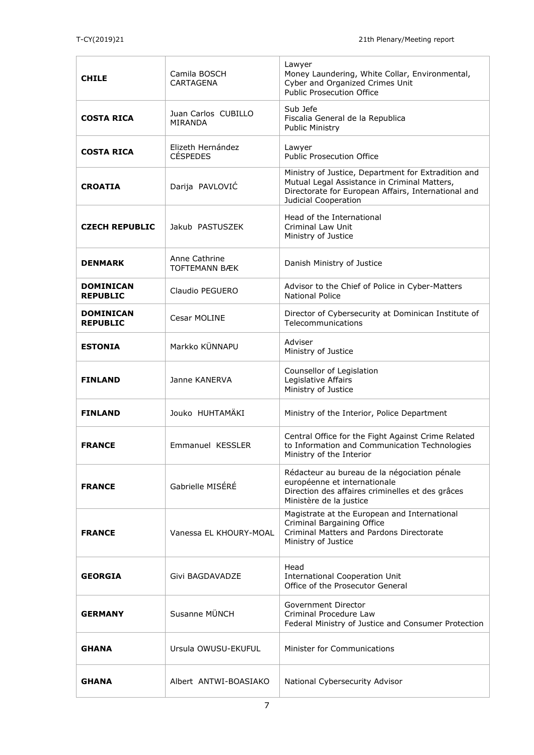| <b>CHILE</b>                        | Camila BOSCH<br><b>CARTAGENA</b>      | Lawyer<br>Money Laundering, White Collar, Environmental,<br>Cyber and Organized Crimes Unit<br>Public Prosecution Office                                                           |
|-------------------------------------|---------------------------------------|------------------------------------------------------------------------------------------------------------------------------------------------------------------------------------|
| <b>COSTA RICA</b>                   | Juan Carlos CUBILLO<br>MIRANDA        | Sub Jefe<br>Fiscalia General de la Republica<br>Public Ministry                                                                                                                    |
| <b>COSTA RICA</b>                   | Elizeth Hernández<br><b>CÉSPEDES</b>  | Lawyer<br>Public Prosecution Office                                                                                                                                                |
| <b>CROATIA</b>                      | Darija PAVLOVIĆ                       | Ministry of Justice, Department for Extradition and<br>Mutual Legal Assistance in Criminal Matters,<br>Directorate for European Affairs, International and<br>Judicial Cooperation |
| <b>CZECH REPUBLIC</b>               | Jakub PASTUSZEK                       | Head of the International<br><b>Criminal Law Unit</b><br>Ministry of Justice                                                                                                       |
| <b>DENMARK</b>                      | Anne Cathrine<br><b>TOFTEMANN BÆK</b> | Danish Ministry of Justice                                                                                                                                                         |
| <b>DOMINICAN</b><br><b>REPUBLIC</b> | Claudio PEGUERO                       | Advisor to the Chief of Police in Cyber-Matters<br><b>National Police</b>                                                                                                          |
| <b>DOMINICAN</b><br><b>REPUBLIC</b> | Cesar MOLINE                          | Director of Cybersecurity at Dominican Institute of<br>Telecommunications                                                                                                          |
| <b>ESTONIA</b>                      | Markko KÜNNAPU                        | Adviser<br>Ministry of Justice                                                                                                                                                     |
| <b>FINLAND</b>                      | Janne KANERVA                         | Counsellor of Legislation<br>Legislative Affairs<br>Ministry of Justice                                                                                                            |
| <b>FINLAND</b>                      | Jouko HUHTAMÄKI                       | Ministry of the Interior, Police Department                                                                                                                                        |
| <b>FRANCE</b>                       | Emmanuel KESSLER                      | Central Office for the Fight Against Crime Related<br>to Information and Communication Technologies<br>Ministry of the Interior                                                    |
| <b>FRANCE</b>                       | Gabrielle MISÉRÉ                      | Rédacteur au bureau de la négociation pénale<br>européenne et internationale<br>Direction des affaires criminelles et des grâces<br>Ministère de la justice                        |
| <b>FRANCE</b>                       | Vanessa EL KHOURY-MOAL                | Magistrate at the European and International<br>Criminal Bargaining Office<br>Criminal Matters and Pardons Directorate<br>Ministry of Justice                                      |
| <b>GEORGIA</b>                      | Givi BAGDAVADZE                       | Head<br><b>International Cooperation Unit</b><br>Office of the Prosecutor General                                                                                                  |
| <b>GERMANY</b>                      | Susanne MÜNCH                         | Government Director<br>Criminal Procedure Law<br>Federal Ministry of Justice and Consumer Protection                                                                               |
| <b>GHANA</b>                        | Ursula OWUSU-EKUFUL                   | <b>Minister for Communications</b>                                                                                                                                                 |
| <b>GHANA</b>                        | Albert ANTWI-BOASIAKO                 | National Cybersecurity Advisor                                                                                                                                                     |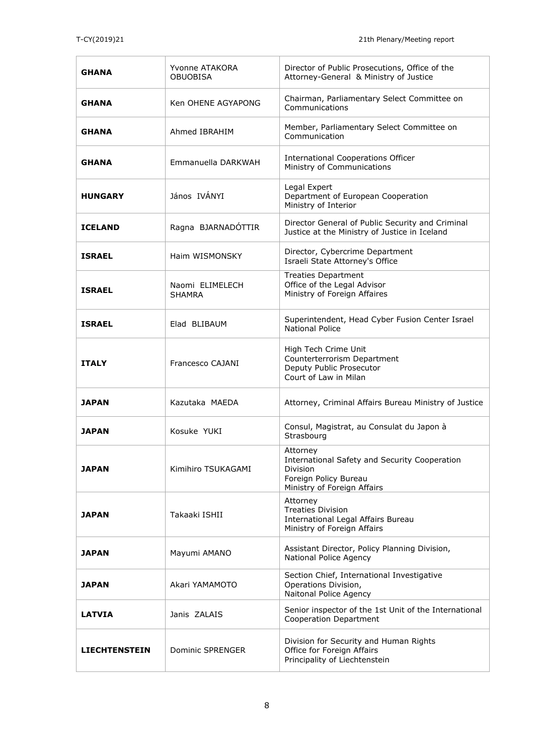| <b>GHANA</b>         | Yvonne ATAKORA<br><b>OBUOBISA</b> | Director of Public Prosecutions, Office of the<br>Attorney-General & Ministry of Justice                                      |
|----------------------|-----------------------------------|-------------------------------------------------------------------------------------------------------------------------------|
| <b>GHANA</b>         | Ken OHENE AGYAPONG                | Chairman, Parliamentary Select Committee on<br>Communications                                                                 |
| <b>GHANA</b>         | <b>Ahmed IBRAHIM</b>              | Member, Parliamentary Select Committee on<br>Communication                                                                    |
| <b>GHANA</b>         | Emmanuella DARKWAH                | <b>International Cooperations Officer</b><br>Ministry of Communications                                                       |
| <b>HUNGARY</b>       | János IVÁNYI                      | Legal Expert<br>Department of European Cooperation<br>Ministry of Interior                                                    |
| <b>ICELAND</b>       | Ragna BJARNADÓTTIR                | Director General of Public Security and Criminal<br>Justice at the Ministry of Justice in Iceland                             |
| <b>ISRAEL</b>        | Haim WISMONSKY                    | Director, Cybercrime Department<br>Israeli State Attorney's Office                                                            |
| <b>ISRAEL</b>        | Naomi ELIMELECH<br><b>SHAMRA</b>  | <b>Treaties Department</b><br>Office of the Legal Advisor<br>Ministry of Foreign Affaires                                     |
| <b>ISRAEL</b>        | Elad BLIBAUM                      | Superintendent, Head Cyber Fusion Center Israel<br><b>National Police</b>                                                     |
| <b>ITALY</b>         | Francesco CAJANI                  | High Tech Crime Unit<br>Counterterrorism Department<br>Deputy Public Prosecutor<br>Court of Law in Milan                      |
| <b>JAPAN</b>         | Kazutaka MAEDA                    | Attorney, Criminal Affairs Bureau Ministry of Justice                                                                         |
| <b>JAPAN</b>         | Kosuke YUKI                       | Consul, Magistrat, au Consulat du Japon à<br>Strasbourg                                                                       |
| <b>JAPAN</b>         | Kimihiro TSUKAGAMI                | Attorney<br>International Safety and Security Cooperation<br>Division<br>Foreign Policy Bureau<br>Ministry of Foreign Affairs |
| <b>JAPAN</b>         | Takaaki ISHII                     | Attorney<br><b>Treaties Division</b><br>International Legal Affairs Bureau<br>Ministry of Foreign Affairs                     |
| <b>JAPAN</b>         | Mayumi AMANO                      | Assistant Director, Policy Planning Division,<br>National Police Agency                                                       |
| <b>JAPAN</b>         | Akari YAMAMOTO                    | Section Chief, International Investigative<br>Operations Division,<br>Naitonal Police Agency                                  |
| <b>LATVIA</b>        | Janis ZALAIS                      | Senior inspector of the 1st Unit of the International<br><b>Cooperation Department</b>                                        |
| <b>LIECHTENSTEIN</b> | Dominic SPRENGER                  | Division for Security and Human Rights<br>Office for Foreign Affairs<br>Principality of Liechtenstein                         |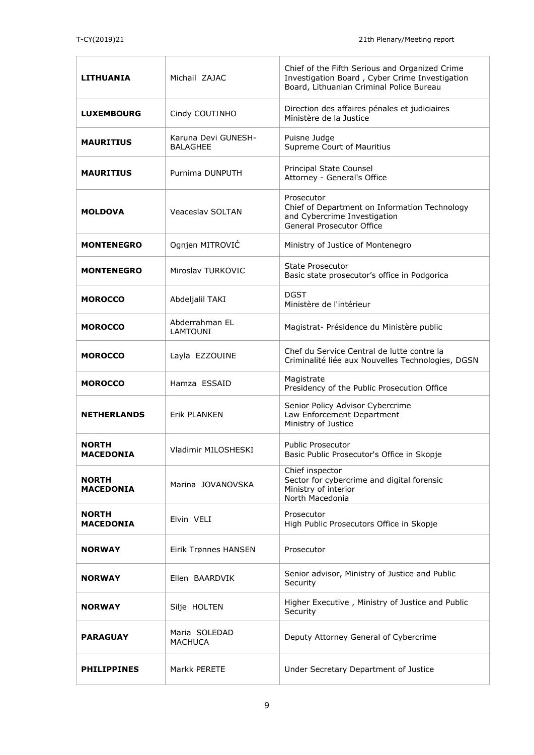| LITHUANIA                        | Michail ZAJAC                          | Chief of the Fifth Serious and Organized Crime<br>Investigation Board, Cyber Crime Investigation<br>Board, Lithuanian Criminal Police Bureau |
|----------------------------------|----------------------------------------|----------------------------------------------------------------------------------------------------------------------------------------------|
| <b>LUXEMBOURG</b>                | Cindy COUTINHO                         | Direction des affaires pénales et judiciaires<br>Ministère de la Justice                                                                     |
| <b>MAURITIUS</b>                 | Karuna Devi GUNESH-<br><b>BALAGHEE</b> | Puisne Judge<br>Supreme Court of Mauritius                                                                                                   |
| <b>MAURITIUS</b>                 | Purnima DUNPUTH                        | Principal State Counsel<br>Attorney - General's Office                                                                                       |
| <b>MOLDOVA</b>                   | <b>Veaceslav SOLTAN</b>                | Prosecutor<br>Chief of Department on Information Technology<br>and Cybercrime Investigation<br>General Prosecutor Office                     |
| <b>MONTENEGRO</b>                | Ognjen MITROVIĆ                        | Ministry of Justice of Montenegro                                                                                                            |
| <b>MONTENEGRO</b>                | Miroslav TURKOVIC                      | <b>State Prosecutor</b><br>Basic state prosecutor's office in Podgorica                                                                      |
| <b>MOROCCO</b>                   | Abdeljalil TAKI                        | <b>DGST</b><br>Ministère de l'intérieur                                                                                                      |
| <b>MOROCCO</b>                   | Abderrahman EL<br><b>LAMTOUNI</b>      | Magistrat- Présidence du Ministère public                                                                                                    |
| <b>MOROCCO</b>                   | Layla EZZOUINE                         | Chef du Service Central de lutte contre la<br>Criminalité liée aux Nouvelles Technologies, DGSN                                              |
| <b>MOROCCO</b>                   | Hamza ESSAID                           | Magistrate<br>Presidency of the Public Prosecution Office                                                                                    |
| <b>NETHERLANDS</b>               | <b>Erik PLANKEN</b>                    | Senior Policy Advisor Cybercrime<br>Law Enforcement Department<br>Ministry of Justice                                                        |
| <b>NORTH</b><br><b>MACEDONIA</b> | Vladimir MILOSHESKI                    | <b>Public Prosecutor</b><br>Basic Public Prosecutor's Office in Skopje                                                                       |
| <b>NORTH</b><br><b>MACEDONIA</b> | Marina JOVANOVSKA                      | Chief inspector<br>Sector for cybercrime and digital forensic<br>Ministry of interior<br>North Macedonia                                     |
| NORTH<br>MACEDONIA               | Elvin VELI                             | Prosecutor<br>High Public Prosecutors Office in Skopje                                                                                       |
| <b>NORWAY</b>                    | <b>Eirik Trønnes HANSEN</b>            | Prosecutor                                                                                                                                   |
| <b>NORWAY</b>                    | Ellen BAARDVIK                         | Senior advisor, Ministry of Justice and Public<br>Security                                                                                   |
| <b>NORWAY</b>                    | Silje HOLTEN                           | Higher Executive, Ministry of Justice and Public<br>Security                                                                                 |
| <b>PARAGUAY</b>                  | Maria SOLEDAD<br>MACHUCA               | Deputy Attorney General of Cybercrime                                                                                                        |
| <b>PHILIPPINES</b>               | Markk PERETE                           | Under Secretary Department of Justice                                                                                                        |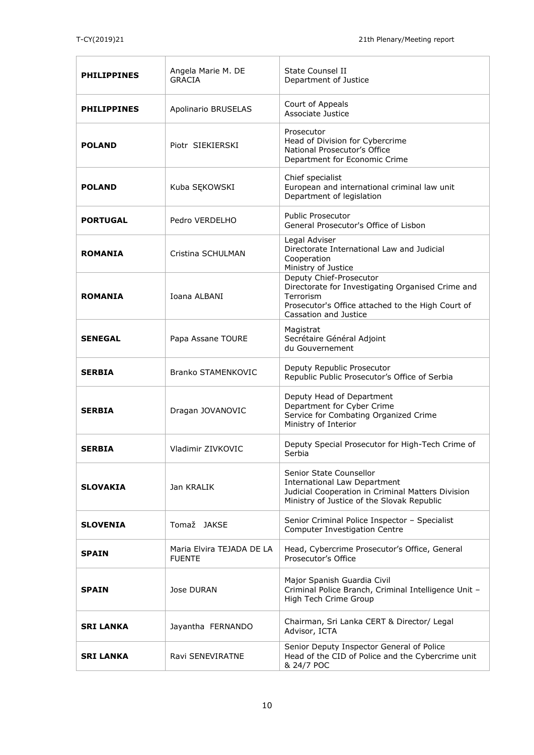| <b>PHILIPPINES</b> | Angela Marie M. DE<br><b>GRACIA</b>        | State Counsel II<br>Department of Justice                                                                                                                               |
|--------------------|--------------------------------------------|-------------------------------------------------------------------------------------------------------------------------------------------------------------------------|
| <b>PHILIPPINES</b> | Apolinario BRUSELAS                        | Court of Appeals<br>Associate Justice                                                                                                                                   |
| <b>POLAND</b>      | Piotr SIEKIERSKI                           | Prosecutor<br>Head of Division for Cybercrime<br>National Prosecutor's Office<br>Department for Economic Crime                                                          |
| <b>POLAND</b>      | Kuba SĘKOWSKI                              | Chief specialist<br>European and international criminal law unit<br>Department of legislation                                                                           |
| <b>PORTUGAL</b>    | Pedro VERDELHO                             | <b>Public Prosecutor</b><br>General Prosecutor's Office of Lisbon                                                                                                       |
| <b>ROMANIA</b>     | Cristina SCHULMAN                          | Legal Adviser<br>Directorate International Law and Judicial<br>Cooperation<br>Ministry of Justice                                                                       |
| <b>ROMANIA</b>     | Ioana ALBANI                               | Deputy Chief-Prosecutor<br>Directorate for Investigating Organised Crime and<br>Terrorism<br>Prosecutor's Office attached to the High Court of<br>Cassation and Justice |
| <b>SENEGAL</b>     | Papa Assane TOURE                          | Magistrat<br>Secrétaire Général Adjoint<br>du Gouvernement                                                                                                              |
| <b>SERBIA</b>      | <b>Branko STAMENKOVIC</b>                  | Deputy Republic Prosecutor<br>Republic Public Prosecutor's Office of Serbia                                                                                             |
| <b>SERBIA</b>      | Dragan JOVANOVIC                           | Deputy Head of Department<br>Department for Cyber Crime<br>Service for Combating Organized Crime<br>Ministry of Interior                                                |
| <b>SERBIA</b>      | Vladimir ZIVKOVIC                          | Deputy Special Prosecutor for High-Tech Crime of<br>Serbia                                                                                                              |
| <b>SLOVAKIA</b>    | Jan KRALIK                                 | Senior State Counsellor<br><b>International Law Department</b><br>Judicial Cooperation in Criminal Matters Division<br>Ministry of Justice of the Slovak Republic       |
| <b>SLOVENIA</b>    | Tomaž JAKSE                                | Senior Criminal Police Inspector - Specialist<br>Computer Investigation Centre                                                                                          |
| <b>SPAIN</b>       | Maria Elvira TEJADA DE LA<br><b>FUENTE</b> | Head, Cybercrime Prosecutor's Office, General<br>Prosecutor's Office                                                                                                    |
| <b>SPAIN</b>       | Jose DURAN                                 | Major Spanish Guardia Civil<br>Criminal Police Branch, Criminal Intelligence Unit -<br>High Tech Crime Group                                                            |
| <b>SRI LANKA</b>   | Jayantha FERNANDO                          | Chairman, Sri Lanka CERT & Director/ Legal<br>Advisor, ICTA                                                                                                             |
| <b>SRI LANKA</b>   | Ravi SENEVIRATNE                           | Senior Deputy Inspector General of Police<br>Head of the CID of Police and the Cybercrime unit<br>& 24/7 POC                                                            |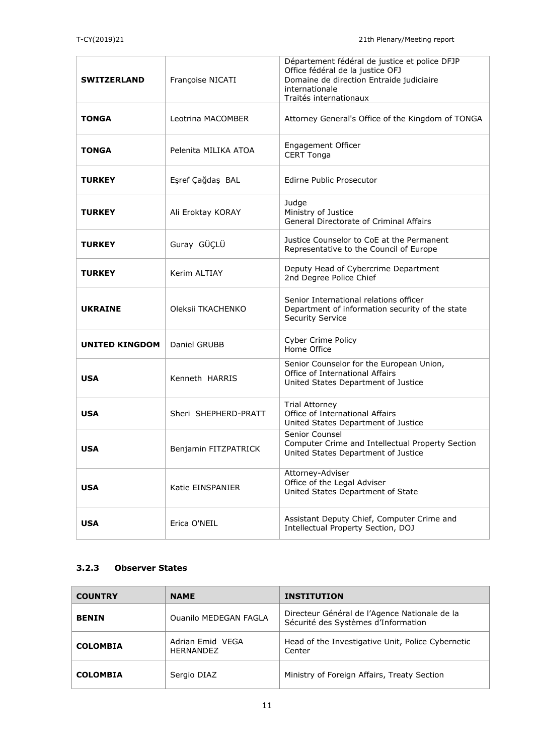| <b>SWITZERLAND</b>    | Françoise NICATI     | Département fédéral de justice et police DFJP<br>Office fédéral de la justice OFJ<br>Domaine de direction Entraide judiciaire<br>internationale<br>Traités internationaux |
|-----------------------|----------------------|---------------------------------------------------------------------------------------------------------------------------------------------------------------------------|
| <b>TONGA</b>          | Leotrina MACOMBER    | Attorney General's Office of the Kingdom of TONGA                                                                                                                         |
| <b>TONGA</b>          | Pelenita MILIKA ATOA | Engagement Officer<br><b>CERT Tonga</b>                                                                                                                                   |
| <b>TURKEY</b>         | Eşref Çağdaş BAL     | <b>Edirne Public Prosecutor</b>                                                                                                                                           |
| <b>TURKEY</b>         | Ali Eroktay KORAY    | Judge<br>Ministry of Justice<br>General Directorate of Criminal Affairs                                                                                                   |
| <b>TURKEY</b>         | Guray GÜÇLÜ          | Justice Counselor to CoE at the Permanent<br>Representative to the Council of Europe                                                                                      |
| <b>TURKEY</b>         | <b>Kerim ALTIAY</b>  | Deputy Head of Cybercrime Department<br>2nd Degree Police Chief                                                                                                           |
| <b>UKRAINE</b>        | Oleksii TKACHENKO    | Senior International relations officer<br>Department of information security of the state<br><b>Security Service</b>                                                      |
| <b>UNITED KINGDOM</b> | Daniel GRUBB         | <b>Cyber Crime Policy</b><br>Home Office                                                                                                                                  |
| <b>USA</b>            | Kenneth HARRIS       | Senior Counselor for the European Union,<br>Office of International Affairs<br>United States Department of Justice                                                        |
| <b>USA</b>            | Sheri SHEPHERD-PRATT | <b>Trial Attorney</b><br>Office of International Affairs<br>United States Department of Justice                                                                           |
| <b>USA</b>            | Benjamin FITZPATRICK | Senior Counsel<br>Computer Crime and Intellectual Property Section<br>United States Department of Justice                                                                 |
| <b>USA</b>            | Katie EINSPANIER     | Attorney-Adviser<br>Office of the Legal Adviser<br>United States Department of State                                                                                      |
| <b>USA</b>            | Erica O'NEIL         | Assistant Deputy Chief, Computer Crime and<br>Intellectual Property Section, DOJ                                                                                          |

### **3.2.3 Observer States**

| <b>COUNTRY</b>  | <b>NAME</b>                          | <b>INSTITUTION</b>                                                                   |
|-----------------|--------------------------------------|--------------------------------------------------------------------------------------|
| <b>BENIN</b>    | <b>Ouanilo MEDEGAN FAGLA</b>         | Directeur Général de l'Agence Nationale de la<br>Sécurité des Systèmes d'Information |
| <b>COLOMBIA</b> | Adrian Emid VEGA<br><b>HFRNANDFZ</b> | Head of the Investigative Unit, Police Cybernetic<br>Center                          |
| <b>COLOMBIA</b> | Sergio DIAZ                          | Ministry of Foreign Affairs, Treaty Section                                          |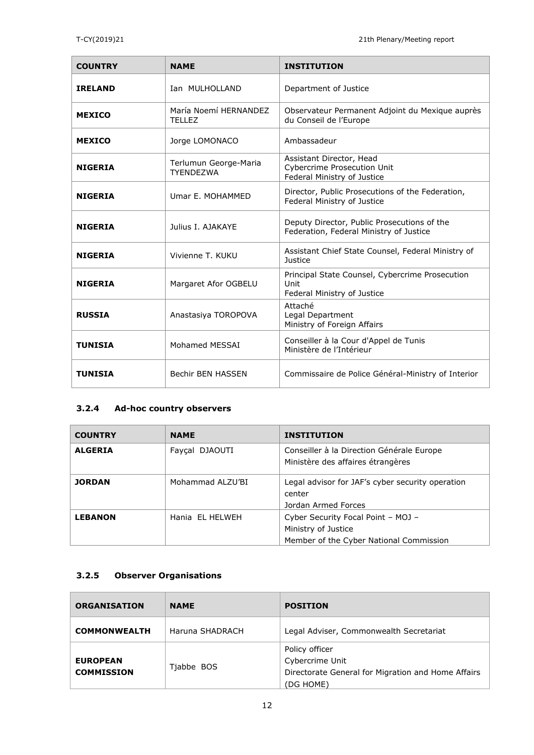| <b>COUNTRY</b> | <b>NAME</b>                               | <b>INSTITUTION</b>                                                                            |
|----------------|-------------------------------------------|-----------------------------------------------------------------------------------------------|
| <b>IRELAND</b> | Ian MULHOLLAND                            | Department of Justice                                                                         |
| <b>MEXICO</b>  | María Noemí HFRNANDEZ<br><b>TELLEZ</b>    | Observateur Permanent Adjoint du Mexique auprès<br>du Conseil de l'Europe                     |
| <b>MEXICO</b>  | Jorge LOMONACO                            | Ambassadeur                                                                                   |
| <b>NIGERIA</b> | Terlumun George-Maria<br><b>TYENDEZWA</b> | Assistant Director, Head<br><b>Cybercrime Prosecution Unit</b><br>Federal Ministry of Justice |
| <b>NIGERIA</b> | Umar E. MOHAMMED                          | Director, Public Prosecutions of the Federation,<br>Federal Ministry of Justice               |
| <b>NIGERIA</b> | Julius T. AJAKAYF                         | Deputy Director, Public Prosecutions of the<br>Federation, Federal Ministry of Justice        |
| <b>NIGERIA</b> | Vivienne T. KUKU                          | Assistant Chief State Counsel, Federal Ministry of<br>Justice                                 |
| <b>NIGERIA</b> | Margaret Afor OGBELU                      | Principal State Counsel, Cybercrime Prosecution<br>Unit<br>Federal Ministry of Justice        |
| <b>RUSSIA</b>  | Anastasiya TOROPOVA                       | Attaché<br>Legal Department<br>Ministry of Foreign Affairs                                    |
| <b>TUNISIA</b> | Mohamed MESSAI                            | Conseiller à la Cour d'Appel de Tunis<br>Ministère de l'Intérieur                             |
| <b>TUNISIA</b> | Bechir BEN HASSEN                         | Commissaire de Police Général-Ministry of Interior                                            |

## **3.2.4 Ad-hoc country observers**

| <b>COUNTRY</b> | <b>NAME</b>      | <b>INSTITUTION</b>                                                                                   |
|----------------|------------------|------------------------------------------------------------------------------------------------------|
| <b>ALGERIA</b> | Faycal DJAOUTI   | Conseiller à la Direction Générale Europe<br>Ministère des affaires étrangères                       |
| <b>JORDAN</b>  | Mohammad ALZU'BI | Legal advisor for JAF's cyber security operation<br>center<br>Jordan Armed Forces                    |
| <b>LEBANON</b> | Hania EL HELWEH  | Cyber Security Focal Point - MOJ -<br>Ministry of Justice<br>Member of the Cyber National Commission |

# **3.2.5 Observer Organisations**

| <b>ORGANISATION</b>                  | <b>NAME</b>     | <b>POSITION</b>                                                                                      |
|--------------------------------------|-----------------|------------------------------------------------------------------------------------------------------|
| <b>COMMONWEALTH</b>                  | Haruna SHADRACH | Legal Adviser, Commonwealth Secretariat                                                              |
| <b>EUROPEAN</b><br><b>COMMISSION</b> | Tjabbe BOS      | Policy officer<br>Cybercrime Unit<br>Directorate General for Migration and Home Affairs<br>(DG HOME) |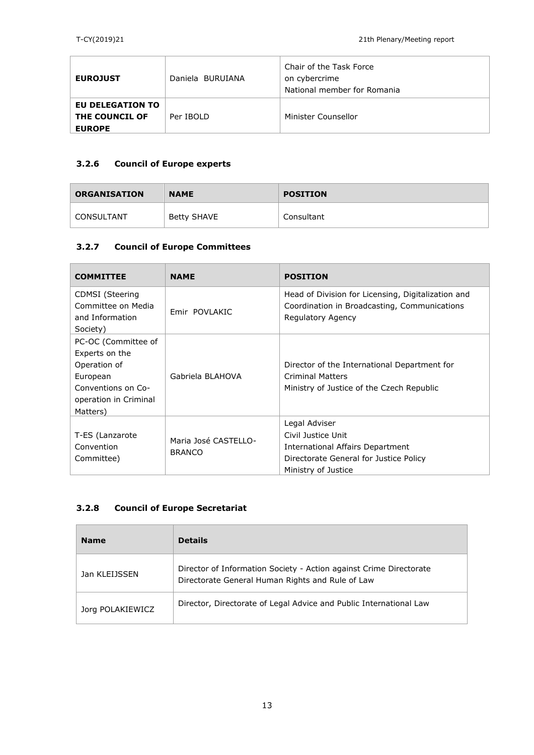| <b>EUROJUST</b>                                                   | Daniela BURUIANA | Chair of the Task Force<br>on cybercrime<br>National member for Romania |
|-------------------------------------------------------------------|------------------|-------------------------------------------------------------------------|
| <b>EU DELEGATION TO</b><br><b>THE COUNCIL OF</b><br><b>EUROPE</b> | Per IBOLD        | Minister Counsellor                                                     |

# **3.2.6 Council of Europe experts**

| <b>ORGANISATION</b> | <b>NAME</b> | <b>POSITION</b> |
|---------------------|-------------|-----------------|
| CONSULTANT          | Betty SHAVE | Consultant      |

## **3.2.7 Council of Europe Committees**

| <b>COMMITTEE</b>                                                | <b>NAME</b>                           | <b>POSITION</b>                                                                                                         |
|-----------------------------------------------------------------|---------------------------------------|-------------------------------------------------------------------------------------------------------------------------|
| <b>CDMSI</b> (Steering<br>Committee on Media<br>and Information | Emir POVLAKIC                         | Head of Division for Licensing, Digitalization and<br>Coordination in Broadcasting, Communications<br>Regulatory Agency |
| Society)                                                        |                                       |                                                                                                                         |
| PC-OC (Committee of                                             |                                       |                                                                                                                         |
| Experts on the                                                  |                                       |                                                                                                                         |
| Operation of                                                    |                                       | Director of the International Department for                                                                            |
| European                                                        | Gabriela BLAHOVA                      | <b>Criminal Matters</b>                                                                                                 |
| Conventions on Co-                                              |                                       | Ministry of Justice of the Czech Republic                                                                               |
| operation in Criminal                                           |                                       |                                                                                                                         |
| Matters)                                                        |                                       |                                                                                                                         |
|                                                                 |                                       | Legal Adviser                                                                                                           |
| T-ES (Lanzarote                                                 | Maria José CASTELLO-<br><b>BRANCO</b> | Civil Justice Unit                                                                                                      |
| Convention                                                      |                                       | International Affairs Department                                                                                        |
| Committee)                                                      |                                       | Directorate General for Justice Policy                                                                                  |
|                                                                 |                                       | Ministry of Justice                                                                                                     |

## **3.2.8 Council of Europe Secretariat**

| <b>Name</b>      | <b>Details</b>                                                                                                         |
|------------------|------------------------------------------------------------------------------------------------------------------------|
| Jan KLEIJSSEN    | Director of Information Society - Action against Crime Directorate<br>Directorate General Human Rights and Rule of Law |
| Jorg POLAKIEWICZ | Director, Directorate of Legal Advice and Public International Law                                                     |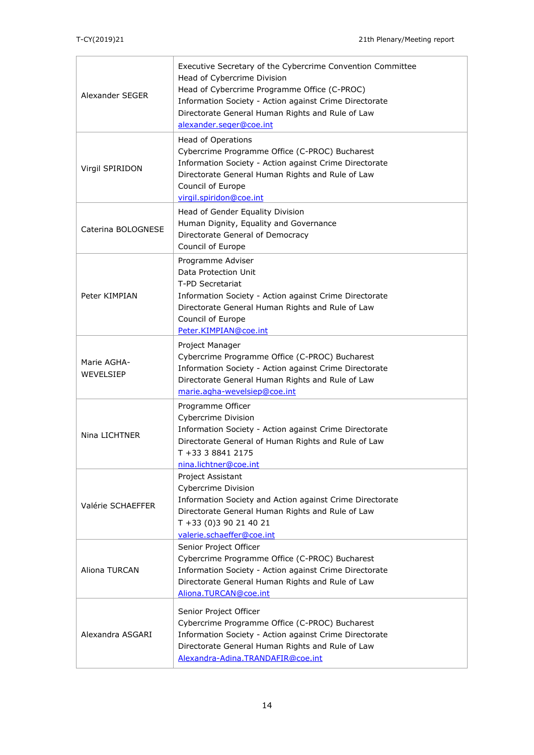| Alexander SEGER          | Executive Secretary of the Cybercrime Convention Committee<br>Head of Cybercrime Division<br>Head of Cybercrime Programme Office (C-PROC)<br>Information Society - Action against Crime Directorate<br>Directorate General Human Rights and Rule of Law<br>alexander.seger@coe.int |
|--------------------------|------------------------------------------------------------------------------------------------------------------------------------------------------------------------------------------------------------------------------------------------------------------------------------|
| Virgil SPIRIDON          | <b>Head of Operations</b><br>Cybercrime Programme Office (C-PROC) Bucharest<br>Information Society - Action against Crime Directorate<br>Directorate General Human Rights and Rule of Law<br>Council of Europe<br>virgil.spiridon@coe.int                                          |
| Caterina BOLOGNESE       | Head of Gender Equality Division<br>Human Dignity, Equality and Governance<br>Directorate General of Democracy<br>Council of Europe                                                                                                                                                |
| Peter KIMPIAN            | Programme Adviser<br>Data Protection Unit<br>T-PD Secretariat<br>Information Society - Action against Crime Directorate<br>Directorate General Human Rights and Rule of Law<br>Council of Europe<br>Peter.KIMPIAN@coe.int                                                          |
| Marie AGHA-<br>WEVELSIEP | Project Manager<br>Cybercrime Programme Office (C-PROC) Bucharest<br>Information Society - Action against Crime Directorate<br>Directorate General Human Rights and Rule of Law<br>marie.agha-wevelsiep@coe.int                                                                    |
| Nina LICHTNER            | Programme Officer<br>Cybercrime Division<br>Information Society - Action against Crime Directorate<br>Directorate General of Human Rights and Rule of Law<br>T +33 3 8841 2175<br>nina.lichtner@coe.int                                                                            |
| Valérie SCHAEFFER        | Project Assistant<br>Cybercrime Division<br>Information Society and Action against Crime Directorate<br>Directorate General Human Rights and Rule of Law<br>T +33 (0)3 90 21 40 21<br>valerie.schaeffer@coe.int                                                                    |
| Aliona TURCAN            | Senior Project Officer<br>Cybercrime Programme Office (C-PROC) Bucharest<br>Information Society - Action against Crime Directorate<br>Directorate General Human Rights and Rule of Law<br>Aliona.TURCAN@coe.int                                                                    |
| Alexandra ASGARI         | Senior Project Officer<br>Cybercrime Programme Office (C-PROC) Bucharest<br>Information Society - Action against Crime Directorate<br>Directorate General Human Rights and Rule of Law<br>Alexandra-Adina.TRANDAFIR@coe.int                                                        |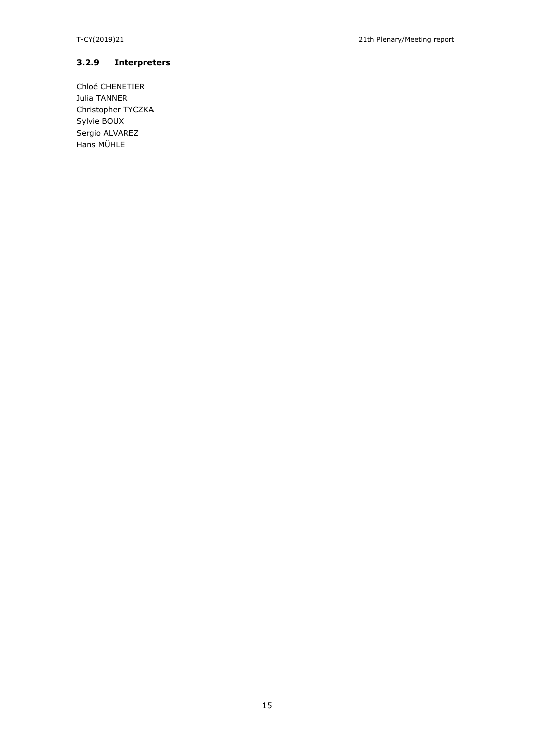### **3.2.9 Interpreters**

Chloé CHENETIER Julia TANNER Christopher TYCZKA Sylvie BOUX Sergio ALVAREZ Hans MÜHLE